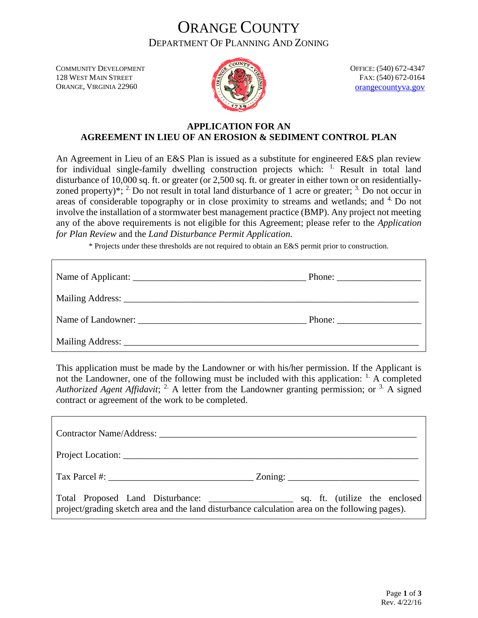### ORANGE COUNTY DEPARTMENT OF PLANNING AND ZONING

COMMUNITY DEVELOPMENT 128 WEST MAIN STREET ORANGE, VIRGINIA 22960



OFFICE: (540) 672-4347 FAX: (540) 672-0164 [orangecountyva.gov](http://www.orangecova.com/)

#### **APPLICATION FOR AN AGREEMENT IN LIEU OF AN EROSION & SEDIMENT CONTROL PLAN**

An Agreement in Lieu of an E&S Plan is issued as a substitute for engineered E&S plan review for individual single-family dwelling construction projects which:  $\frac{1}{1}$  Result in total land disturbance of 10,000 sq. ft. or greater (or 2,500 sq. ft. or greater in either town or on residentiallyzoned property)\*;  $2$  Do not result in total land disturbance of 1 acre or greater;  $3$  Do not occur in areas of considerable topography or in close proximity to streams and wetlands; and <sup>4</sup> Do not involve the installation of a stormwater best management practice (BMP). Any project not meeting any of the above requirements is not eligible for this Agreement; please refer to the *Application for Plan Review* and the *Land Disturbance Permit Application.*

\* Projects under these thresholds are not required to obtain an E&S permit prior to construction.

| Phone: $\frac{1}{\sqrt{1-\frac{1}{2}} \cdot \frac{1}{2}}$ |
|-----------------------------------------------------------|
|                                                           |
|                                                           |
|                                                           |

This application must be made by the Landowner or with his/her permission. If the Applicant is not the Landowner, one of the following must be included with this application:  $\frac{1}{1}$ . A completed *Authorized Agent Affidavit*; <sup>2</sup> A letter from the Landowner granting permission; or <sup>3</sup> A signed contract or agreement of the work to be completed.

| <b>Contractor Name/Address:</b> 2001 2012 2013 2014 2015 2016 2017 2018 2019 2017 2018 2019 2017 2018 2019 2017 2018 2017 2018 2017 2018 2017 2018 2017 2018 2017 2018 2017 2018 2019 2017 2018 2017 2018 2017 2018 2017 2018 2017 |  |
|------------------------------------------------------------------------------------------------------------------------------------------------------------------------------------------------------------------------------------|--|
|                                                                                                                                                                                                                                    |  |
|                                                                                                                                                                                                                                    |  |
| project/grading sketch area and the land disturbance calculation area on the following pages).                                                                                                                                     |  |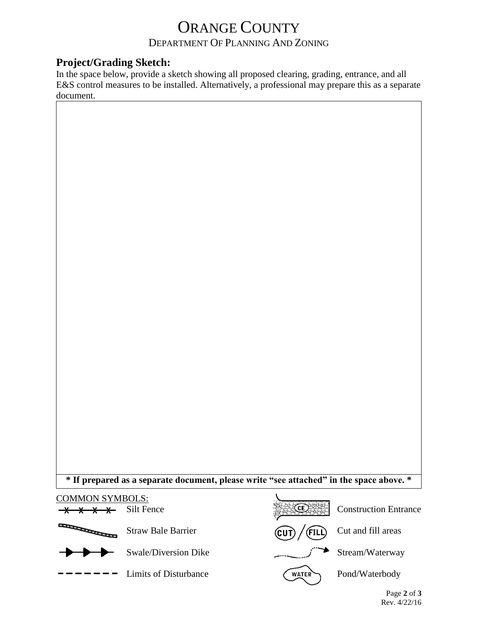# ORANGE COUNTY

### DEPARTMENT OF PLANNING AND ZONING

#### **Project/Grading Sketch:**

In the space below, provide a sketch showing all proposed clearing, grading, entrance, and all E&S control measures to be installed. Alternatively, a professional may prepare this as a separate document.



#### COMMON SYMBOLS: